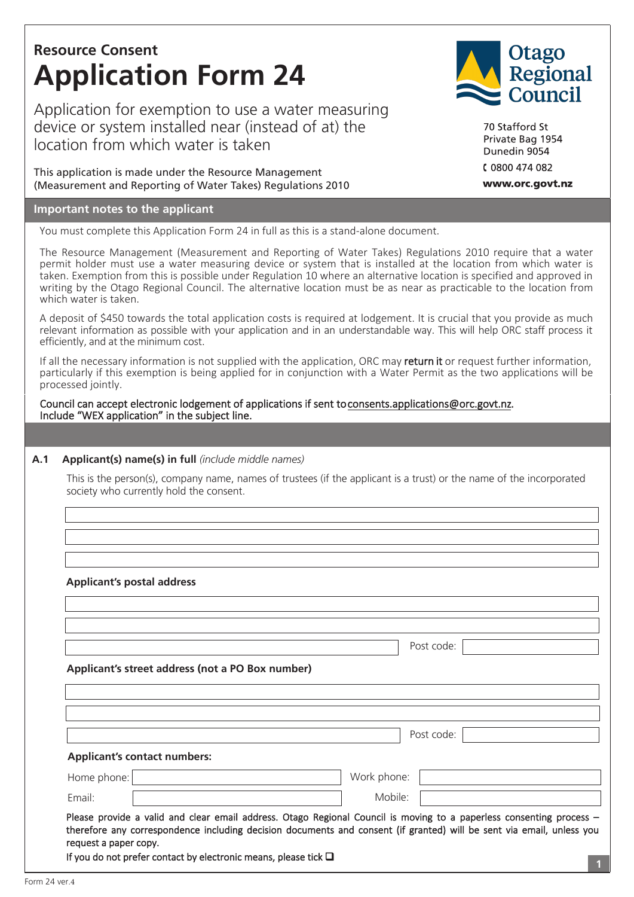# **Resource Consent Application Form 24**

Application for exemption to use a water measuring device or system installed near (instead of at) the location from which water is taken

This application is made under the Resource Management (Measurement and Reporting of Water Takes) Regulations 2010

## **Important notes to the applicant**

You must complete this Application Form 24 in full as this is a stand-alone document.

The Resource Management (Measurement and Reporting of Water Takes) Regulations 2010 require that a water permit holder must use a water measuring device or system that is installed at the location from which water is taken. Exemption from this is possible under Regulation 10 where an alternative location is specified and approved in writing by the Otago Regional Council. The alternative location must be as near as practicable to the location from which water is taken.

A deposit of \$450 towards the total application costs is required at lodgement. It is crucial that you provide as much relevant information as possible with your application and in an understandable way. This will help ORC staff process it efficiently, and at the minimum cost.

If all the necessary information is not supplied with the application, ORC may return it or request further information, particularly if this exemption is being applied for in conjunction with a Water Permit as the two applications will be processed jointly.

Council can accept electronic lodgement of applications if sent to consents.applications@orc.govt.nz. Include "WEX application" in the subject line.

### **A.1 Applicant(s) name(s) in full** *(include middle names)*

This is the person(s), company name, names of trustees (if the applicant is a trust) or the name of the incorporated society who currently hold the consent.

| <b>Applicant's postal address</b>                |                                                                                                                      |                                                                                                                       |
|--------------------------------------------------|----------------------------------------------------------------------------------------------------------------------|-----------------------------------------------------------------------------------------------------------------------|
|                                                  |                                                                                                                      |                                                                                                                       |
|                                                  | Post code:                                                                                                           |                                                                                                                       |
| Applicant's street address (not a PO Box number) |                                                                                                                      |                                                                                                                       |
|                                                  |                                                                                                                      |                                                                                                                       |
|                                                  |                                                                                                                      |                                                                                                                       |
|                                                  | Post code:                                                                                                           |                                                                                                                       |
| <b>Applicant's contact numbers:</b>              |                                                                                                                      |                                                                                                                       |
| Home phone:                                      | Work phone:                                                                                                          |                                                                                                                       |
| Email:                                           | Mobile:                                                                                                              |                                                                                                                       |
|                                                  | Please provide a valid and clear email address. Otago Regional Council is moving to a paperless consenting process - | therefore any correspondence including decision documents and consent (if granted) will be sent via email, unless you |



70 Stafford St Private Bag 1954 Dunedin 9054 C 0800 474 082

www.orc.govt.nz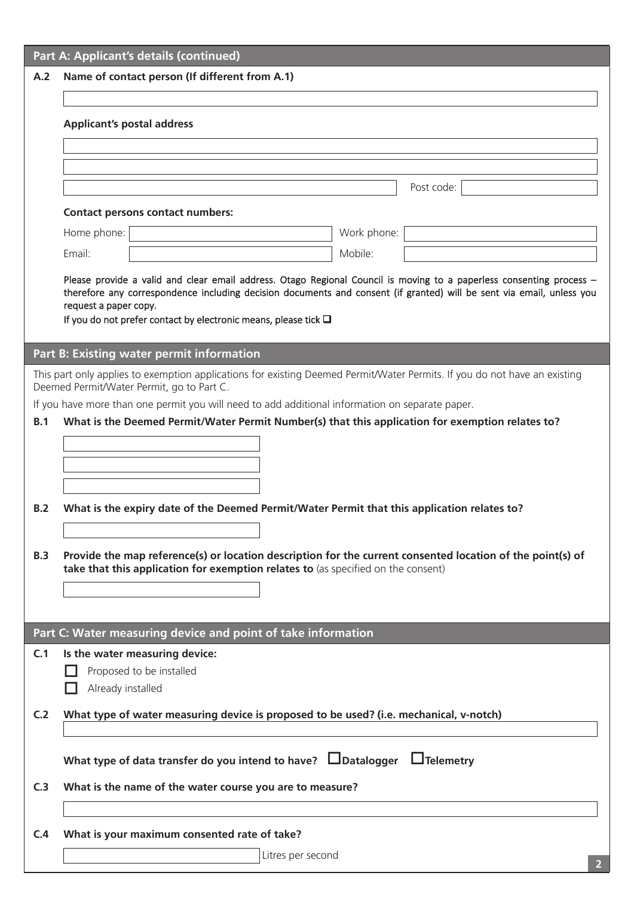|            | Part A: Applicant's details (continued)                                                                                                                                                                                                       |  |  |  |
|------------|-----------------------------------------------------------------------------------------------------------------------------------------------------------------------------------------------------------------------------------------------|--|--|--|
| A.2        | Name of contact person (If different from A.1)                                                                                                                                                                                                |  |  |  |
|            |                                                                                                                                                                                                                                               |  |  |  |
|            | <b>Applicant's postal address</b>                                                                                                                                                                                                             |  |  |  |
|            |                                                                                                                                                                                                                                               |  |  |  |
|            |                                                                                                                                                                                                                                               |  |  |  |
|            | Post code:                                                                                                                                                                                                                                    |  |  |  |
|            | <b>Contact persons contact numbers:</b>                                                                                                                                                                                                       |  |  |  |
|            | Work phone:<br>Home phone:                                                                                                                                                                                                                    |  |  |  |
|            | Email:<br>Mobile:                                                                                                                                                                                                                             |  |  |  |
|            |                                                                                                                                                                                                                                               |  |  |  |
|            | Please provide a valid and clear email address. Otago Regional Council is moving to a paperless consenting process -<br>therefore any correspondence including decision documents and consent (if granted) will be sent via email, unless you |  |  |  |
|            | request a paper copy.<br>If you do not prefer contact by electronic means, please tick $\square$                                                                                                                                              |  |  |  |
|            |                                                                                                                                                                                                                                               |  |  |  |
|            | Part B: Existing water permit information                                                                                                                                                                                                     |  |  |  |
|            | This part only applies to exemption applications for existing Deemed Permit/Water Permits. If you do not have an existing                                                                                                                     |  |  |  |
|            | Deemed Permit/Water Permit, go to Part C.<br>If you have more than one permit you will need to add additional information on separate paper.                                                                                                  |  |  |  |
| B.1        | What is the Deemed Permit/Water Permit Number(s) that this application for exemption relates to?                                                                                                                                              |  |  |  |
|            |                                                                                                                                                                                                                                               |  |  |  |
|            |                                                                                                                                                                                                                                               |  |  |  |
|            |                                                                                                                                                                                                                                               |  |  |  |
| B.2        | What is the expiry date of the Deemed Permit/Water Permit that this application relates to?                                                                                                                                                   |  |  |  |
|            |                                                                                                                                                                                                                                               |  |  |  |
| <b>B.3</b> | Provide the map reference(s) or location description for the current consented location of the point(s) of                                                                                                                                    |  |  |  |
|            | take that this application for exemption relates to (as specified on the consent)                                                                                                                                                             |  |  |  |
|            |                                                                                                                                                                                                                                               |  |  |  |
|            |                                                                                                                                                                                                                                               |  |  |  |
|            | Part C: Water measuring device and point of take information                                                                                                                                                                                  |  |  |  |
| C.1        | Is the water measuring device:                                                                                                                                                                                                                |  |  |  |
|            | Proposed to be installed                                                                                                                                                                                                                      |  |  |  |
|            | Already installed                                                                                                                                                                                                                             |  |  |  |
| C.2        | What type of water measuring device is proposed to be used? (i.e. mechanical, v-notch)                                                                                                                                                        |  |  |  |
|            |                                                                                                                                                                                                                                               |  |  |  |
|            | What type of data transfer do you intend to have? $\Box$ Datalogger<br>$\Box$ Telemetry                                                                                                                                                       |  |  |  |
| C.3        | What is the name of the water course you are to measure?                                                                                                                                                                                      |  |  |  |
|            |                                                                                                                                                                                                                                               |  |  |  |
|            |                                                                                                                                                                                                                                               |  |  |  |
| C.4        | What is your maximum consented rate of take?                                                                                                                                                                                                  |  |  |  |
|            | Litres per second                                                                                                                                                                                                                             |  |  |  |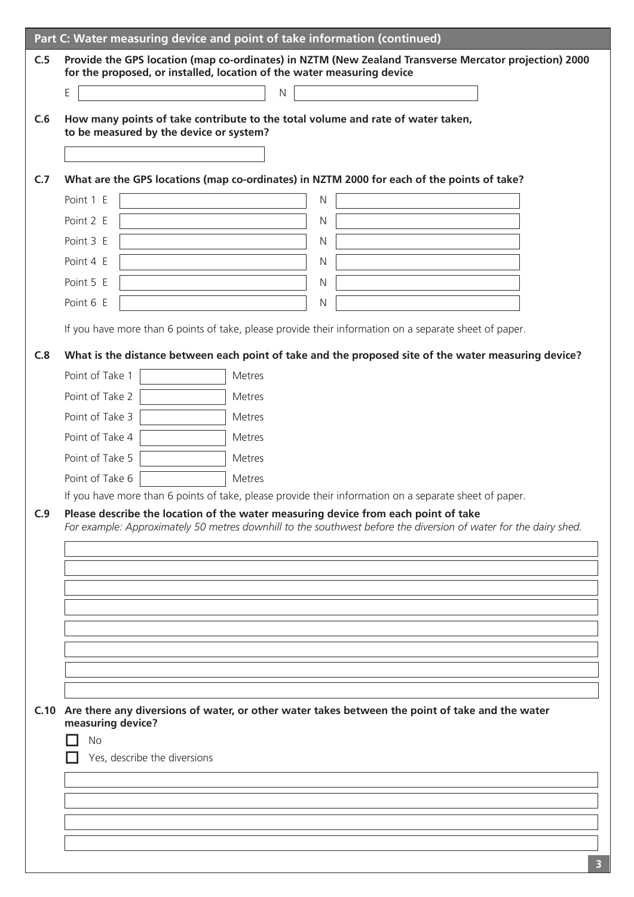|     |                                         | Part C: Water measuring device and point of take information (continued)                                                                                                                               |
|-----|-----------------------------------------|--------------------------------------------------------------------------------------------------------------------------------------------------------------------------------------------------------|
| C.5 |                                         | Provide the GPS location (map co-ordinates) in NZTM (New Zealand Transverse Mercator projection) 2000<br>for the proposed, or installed, location of the water measuring device                        |
|     | E                                       | $\mathsf{N}$                                                                                                                                                                                           |
| C.6 | to be measured by the device or system? | How many points of take contribute to the total volume and rate of water taken,                                                                                                                        |
|     |                                         |                                                                                                                                                                                                        |
| C.7 |                                         | What are the GPS locations (map co-ordinates) in NZTM 2000 for each of the points of take?                                                                                                             |
|     | Point 1 E                               | $\overline{N}$                                                                                                                                                                                         |
|     | Point 2 E                               | N                                                                                                                                                                                                      |
|     | Point 3 E                               | N                                                                                                                                                                                                      |
|     | Point 4 E                               | $\mathsf{N}$                                                                                                                                                                                           |
|     | Point 5 E                               | $\mathsf{N}$                                                                                                                                                                                           |
|     | Point 6 E                               | $\mathsf{N}$                                                                                                                                                                                           |
|     |                                         | If you have more than 6 points of take, please provide their information on a separate sheet of paper.                                                                                                 |
| C.8 |                                         | What is the distance between each point of take and the proposed site of the water measuring device?                                                                                                   |
|     | Point of Take 1                         | Metres                                                                                                                                                                                                 |
|     | Point of Take 2                         | Metres                                                                                                                                                                                                 |
|     | Point of Take 3                         | <b>Metres</b>                                                                                                                                                                                          |
|     | Point of Take 4                         | <b>Metres</b>                                                                                                                                                                                          |
|     | Point of Take 5                         | Metres                                                                                                                                                                                                 |
|     | Point of Take 6                         | <b>Metres</b>                                                                                                                                                                                          |
|     |                                         | If you have more than 6 points of take, please provide their information on a separate sheet of paper.                                                                                                 |
| C.9 |                                         | Please describe the location of the water measuring device from each point of take<br>For example: Approximately 50 metres downhill to the southwest before the diversion of water for the dairy shed. |
|     |                                         |                                                                                                                                                                                                        |
|     |                                         |                                                                                                                                                                                                        |
|     |                                         |                                                                                                                                                                                                        |
|     |                                         |                                                                                                                                                                                                        |
|     |                                         |                                                                                                                                                                                                        |
|     |                                         |                                                                                                                                                                                                        |
|     |                                         |                                                                                                                                                                                                        |
|     |                                         |                                                                                                                                                                                                        |
|     | measuring device?                       | C.10 Are there any diversions of water, or other water takes between the point of take and the water                                                                                                   |
|     | <b>No</b>                               |                                                                                                                                                                                                        |
|     | Yes, describe the diversions            |                                                                                                                                                                                                        |
|     |                                         |                                                                                                                                                                                                        |
|     |                                         |                                                                                                                                                                                                        |
|     |                                         |                                                                                                                                                                                                        |
|     |                                         |                                                                                                                                                                                                        |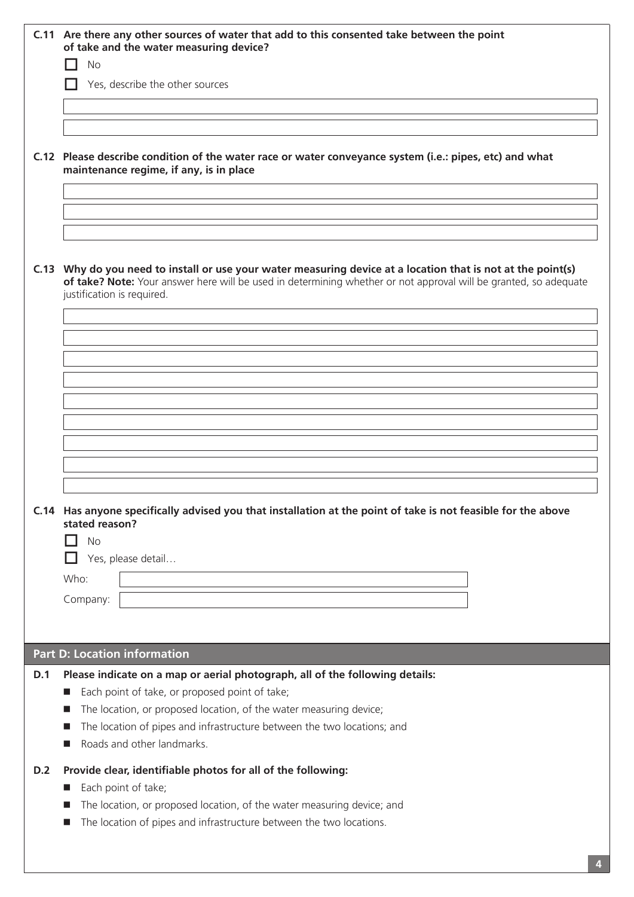|     | C.11 Are there any other sources of water that add to this consented take between the point<br>of take and the water measuring device?<br><b>No</b>                                                                                                            |  |  |
|-----|----------------------------------------------------------------------------------------------------------------------------------------------------------------------------------------------------------------------------------------------------------------|--|--|
|     | Yes, describe the other sources                                                                                                                                                                                                                                |  |  |
|     |                                                                                                                                                                                                                                                                |  |  |
|     |                                                                                                                                                                                                                                                                |  |  |
|     | C.12 Please describe condition of the water race or water conveyance system (i.e.: pipes, etc) and what<br>maintenance regime, if any, is in place                                                                                                             |  |  |
|     |                                                                                                                                                                                                                                                                |  |  |
|     |                                                                                                                                                                                                                                                                |  |  |
|     | C.13 Why do you need to install or use your water measuring device at a location that is not at the point(s)<br>of take? Note: Your answer here will be used in determining whether or not approval will be granted, so adequate<br>justification is required. |  |  |
|     |                                                                                                                                                                                                                                                                |  |  |
|     |                                                                                                                                                                                                                                                                |  |  |
|     |                                                                                                                                                                                                                                                                |  |  |
|     |                                                                                                                                                                                                                                                                |  |  |
|     |                                                                                                                                                                                                                                                                |  |  |
|     |                                                                                                                                                                                                                                                                |  |  |
|     |                                                                                                                                                                                                                                                                |  |  |
|     | C.14 Has anyone specifically advised you that installation at the point of take is not feasible for the above<br>stated reason?                                                                                                                                |  |  |
|     | No                                                                                                                                                                                                                                                             |  |  |
|     | Yes, please detail<br>Who:                                                                                                                                                                                                                                     |  |  |
|     | Company:                                                                                                                                                                                                                                                       |  |  |
|     |                                                                                                                                                                                                                                                                |  |  |
|     | <b>Part D: Location information</b>                                                                                                                                                                                                                            |  |  |
| D.1 | Please indicate on a map or aerial photograph, all of the following details:                                                                                                                                                                                   |  |  |
|     | Each point of take, or proposed point of take;<br>ш<br>The location, or proposed location, of the water measuring device;<br>ш                                                                                                                                 |  |  |
|     | The location of pipes and infrastructure between the two locations; and<br>ш                                                                                                                                                                                   |  |  |
|     | Roads and other landmarks.                                                                                                                                                                                                                                     |  |  |
| D.2 | Provide clear, identifiable photos for all of the following:                                                                                                                                                                                                   |  |  |
|     | Each point of take;<br>ш<br>The location, or proposed location, of the water measuring device; and<br>ш                                                                                                                                                        |  |  |
|     | The location of pipes and infrastructure between the two locations.<br>ш                                                                                                                                                                                       |  |  |
|     |                                                                                                                                                                                                                                                                |  |  |